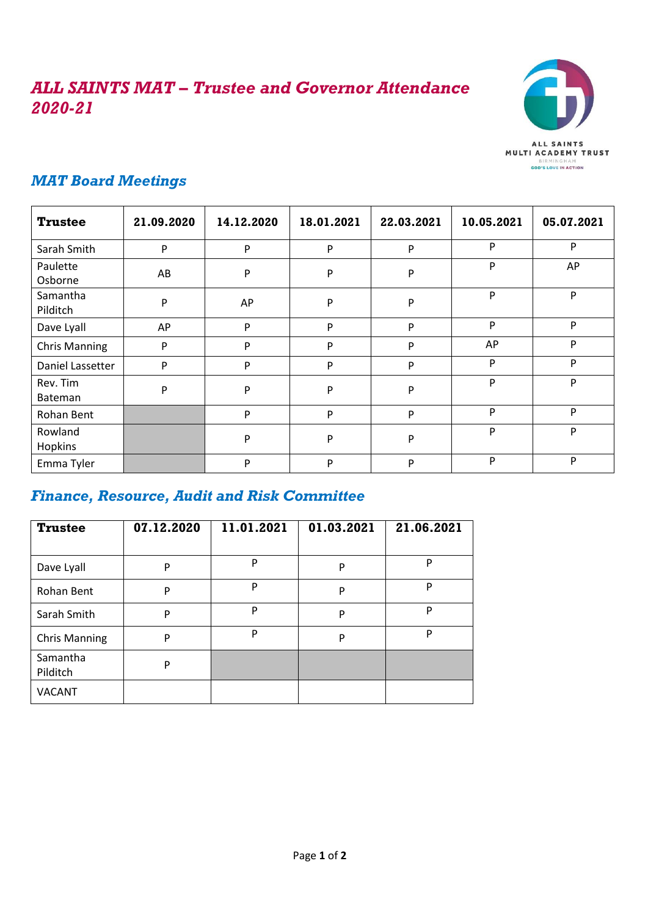

## *MAT Board Meetings*

| <b>Trustee</b>             | 21.09.2020 | 14.12.2020 | 18.01.2021 | 22.03.2021 | 10.05.2021 | 05.07.2021 |
|----------------------------|------------|------------|------------|------------|------------|------------|
| Sarah Smith                | P          | P          | P          | P          | P          | P          |
| Paulette<br>Osborne        | AB         | P          | P          | P          | P          | AP         |
| Samantha<br>Pilditch       | P          | AP         | P          | P          | P          | P          |
| Dave Lyall                 | AP         | P          | P          | P          | P          | P          |
| <b>Chris Manning</b>       | P          | P          | P          | P          | AP         | P          |
| Daniel Lassetter           | P          | P          | P          | P          | P          | P          |
| Rev. Tim<br><b>Bateman</b> | P          | P          | P          | P          | P          | P          |
| Rohan Bent                 |            | P          | P          | P          | P          | P          |
| Rowland<br>Hopkins         |            | P          | P          | P          | P          | P          |
| Emma Tyler                 |            | P          | P          | P          | P          | P          |

## *Finance, Resource, Audit and Risk Committee*

| <b>Trustee</b>       | 07.12.2020 | 11.01.2021 | 01.03.2021 | 21.06.2021 |
|----------------------|------------|------------|------------|------------|
| Dave Lyall           | P          | P          | P          | P          |
| Rohan Bent           | P          | P          | P          | P          |
| Sarah Smith          | P          | P          | P          | P          |
| <b>Chris Manning</b> | P          | P          | P          | P          |
| Samantha<br>Pilditch | P          |            |            |            |
| <b>VACANT</b>        |            |            |            |            |